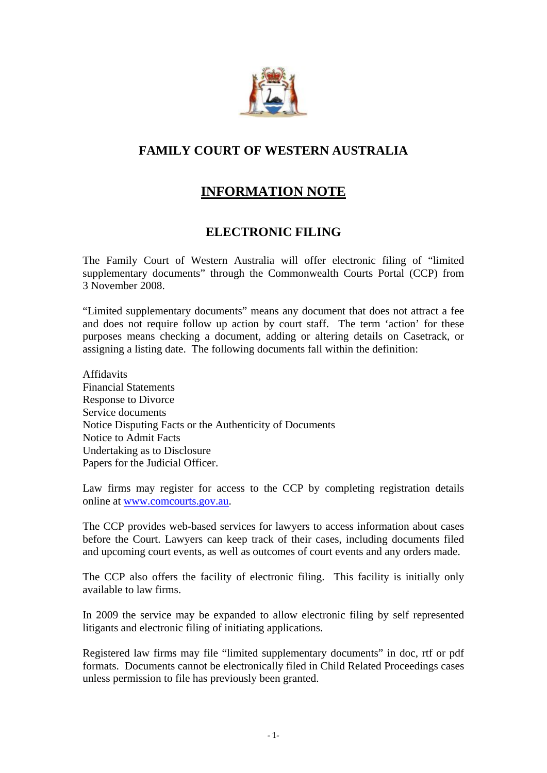

# **FAMILY COURT OF WESTERN AUSTRALIA**

# **INFORMATION NOTE**

# **ELECTRONIC FILING**

The Family Court of Western Australia will offer electronic filing of "limited supplementary documents" through the Commonwealth Courts Portal (CCP) from 3 November 2008.

"Limited supplementary documents" means any document that does not attract a fee and does not require follow up action by court staff. The term 'action' for these purposes means checking a document, adding or altering details on Casetrack, or assigning a listing date. The following documents fall within the definition:

Affidavits Financial Statements Response to Divorce Service documents Notice Disputing Facts or the Authenticity of Documents Notice to Admit Facts Undertaking as to Disclosure Papers for the Judicial Officer.

Law firms may register for access to the CCP by completing registration details online at [www.comcourts.gov.au](http://www.comcourts.gov.au/).

The CCP provides web-based services for lawyers to access information about cases before the Court. Lawyers can keep track of their cases, including documents filed and upcoming court events, as well as outcomes of court events and any orders made.

The CCP also offers the facility of electronic filing. This facility is initially only available to law firms.

In 2009 the service may be expanded to allow electronic filing by self represented litigants and electronic filing of initiating applications.

Registered law firms may file "limited supplementary documents" in doc, rtf or pdf formats. Documents cannot be electronically filed in Child Related Proceedings cases unless permission to file has previously been granted.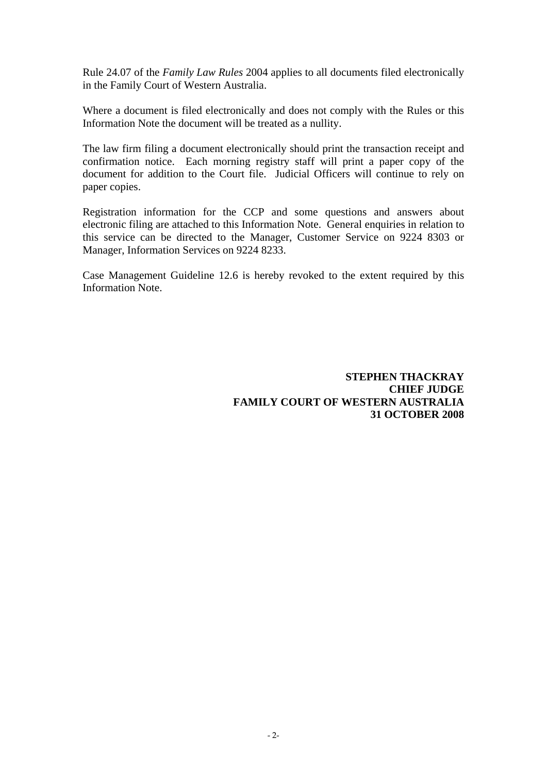Rule 24.07 of the *Family Law Rules* 2004 applies to all documents filed electronically in the Family Court of Western Australia.

Where a document is filed electronically and does not comply with the Rules or this Information Note the document will be treated as a nullity.

The law firm filing a document electronically should print the transaction receipt and confirmation notice. Each morning registry staff will print a paper copy of the document for addition to the Court file. Judicial Officers will continue to rely on paper copies.

Registration information for the CCP and some questions and answers about electronic filing are attached to this Information Note. General enquiries in relation to this service can be directed to the Manager, Customer Service on 9224 8303 or Manager, Information Services on 9224 8233.

Case Management Guideline 12.6 is hereby revoked to the extent required by this Information Note.

> **STEPHEN THACKRAY CHIEF JUDGE FAMILY COURT OF WESTERN AUSTRALIA 31 OCTOBER 2008**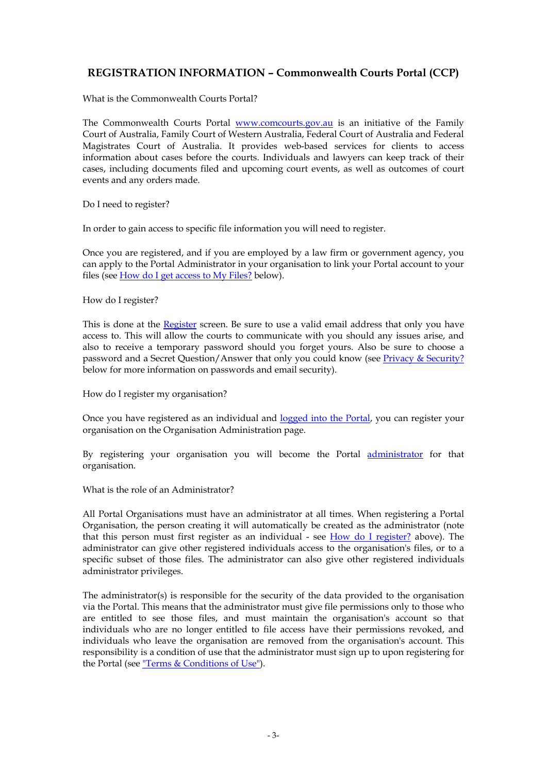# **REGISTRATION INFORMATION – Commonwealth Courts Portal (CCP)**

What is the Commonwealth Courts Portal?

The Commonwealth Courts Portal [www.comcourts.gov.au](http://www.comcourts.gov.au/) is an initiative of the Family Court of Australia, Family Court of Western Australia, Federal Court of Australia and Federal Magistrates Court of Australia. It provides web-based services for clients to access information about cases before the courts. Individuals and lawyers can keep track of their cases, including documents filed and upcoming court events, as well as outcomes of court events and any orders made.

Do I need to register?

In order to gain access to specific file information you will need to register.

Once you are registered, and if you are employed by a law firm or government agency, you can apply to the Portal Administrator in your organisation to link your Portal account to your files (see [How do I get access to My Files?](https://www.comcourts.gov.au/pacm/individual/new#a_rq6#a_rq6) below).

How do I register?

This is done at the [Register](https://www.comcourts.gov.au/individual/new) screen. Be sure to use a valid email address that only you have access to. This will allow the courts to communicate with you should any issues arise, and also to receive a temporary password should you forget yours. Also be sure to choose a password and a Secret Question/Answer that only you could know (see [Privacy & Security?](https://www.comcourts.gov.au/pacm/individual/new#a_rq7#a_rq7) below for more information on passwords and email security).

How do I register my organisation?

Once you have registered as an individual and [logged into the Portal](https://www.comcourts.gov.au/access/login), you can register your organisation on the Organisation Administration page.

By registering your organisation you will become the Portal **administrator** for that organisation.

What is the role of an Administrator?

All Portal Organisations must have an administrator at all times. When registering a Portal Organisation, the person creating it will automatically be created as the administrator (note that this person must first register as an individual - see [How do I register?](https://www.comcourts.gov.au/pacm/individual/new#a_rq3#a_rq3) above). The administrator can give other registered individuals access to the organisation's files, or to a specific subset of those files. The administrator can also give other registered individuals administrator privileges.

The administrator(s) is responsible for the security of the data provided to the organisation via the Portal. This means that the administrator must give file permissions only to those who are entitled to see those files, and must maintain the organisation's account so that individuals who are no longer entitled to file access have their permissions revoked, and individuals who leave the organisation are removed from the organisation's account. This responsibility is a condition of use that the administrator must sign up to upon registering for the Portal (see ["Terms & Conditions of Use"\)](https://www.comcourts.gov.au/pacm/individual/new#tscs#tscs).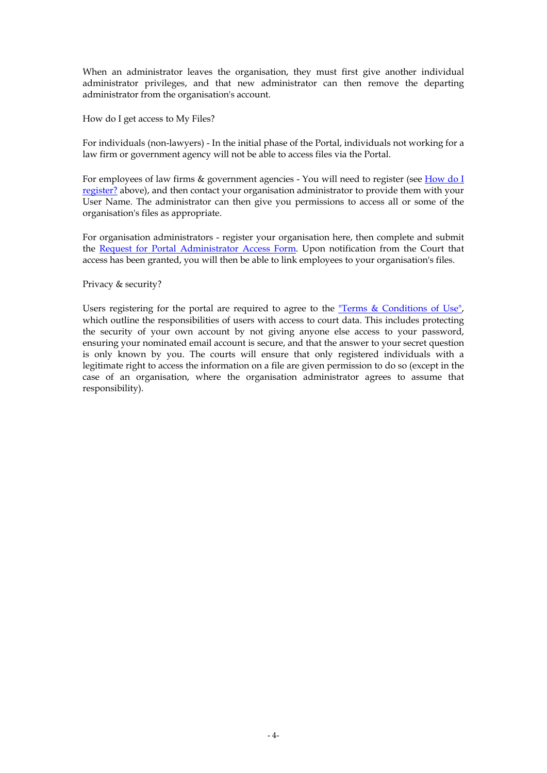When an administrator leaves the organisation, they must first give another individual administrator privileges, and that new administrator can then remove the departing administrator from the organisation's account.

How do I get access to My Files?

For individuals (non-lawyers) - In the initial phase of the Portal, individuals not working for a law firm or government agency will not be able to access files via the Portal.

For employees of law firms & government agencies - You will need to register (see [How do I](https://www.comcourts.gov.au/pacm/individual/new#a_rq4#a_rq4)  [register?](https://www.comcourts.gov.au/pacm/individual/new#a_rq4#a_rq4) above), and then contact your organisation administrator to provide them with your User Name. The administrator can then give you permissions to access all or some of the organisation's files as appropriate.

For organisation administrators - register your organisation here, then complete and submit the [Request for Portal Administrator Access Form](https://www.comcourts.gov.au/info/admin_access_form). Upon notification from the Court that access has been granted, you will then be able to link employees to your organisation's files.

Privacy & security?

Users registering for the portal are required to agree to the ["Terms & Conditions of Use",](https://www.comcourts.gov.au/pacm/individual/new#tscs#tscs) which outline the responsibilities of users with access to court data. This includes protecting the security of your own account by not giving anyone else access to your password, ensuring your nominated email account is secure, and that the answer to your secret question is only known by you. The courts will ensure that only registered individuals with a legitimate right to access the information on a file are given permission to do so (except in the case of an organisation, where the organisation administrator agrees to assume that responsibility).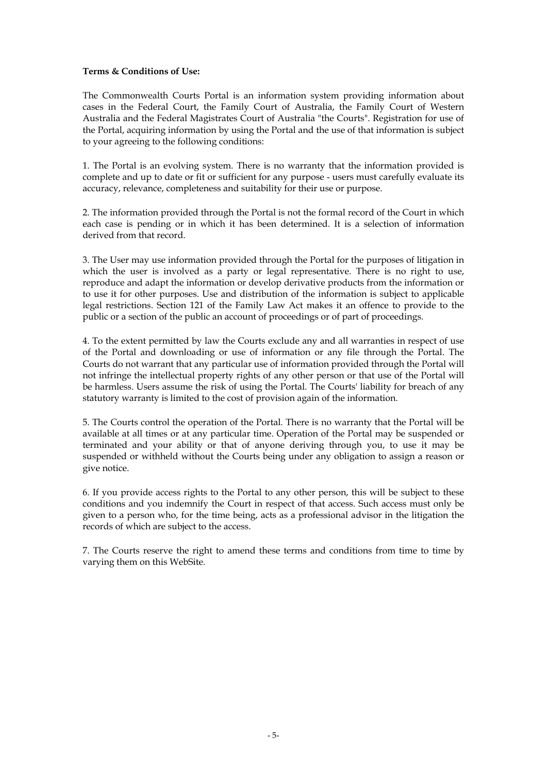#### **Terms & Conditions of Use:**

The Commonwealth Courts Portal is an information system providing information about cases in the Federal Court, the Family Court of Australia, the Family Court of Western Australia and the Federal Magistrates Court of Australia "the Courts". Registration for use of the Portal, acquiring information by using the Portal and the use of that information is subject to your agreeing to the following conditions:

1. The Portal is an evolving system. There is no warranty that the information provided is complete and up to date or fit or sufficient for any purpose - users must carefully evaluate its accuracy, relevance, completeness and suitability for their use or purpose.

2. The information provided through the Portal is not the formal record of the Court in which each case is pending or in which it has been determined. It is a selection of information derived from that record.

3. The User may use information provided through the Portal for the purposes of litigation in which the user is involved as a party or legal representative. There is no right to use, reproduce and adapt the information or develop derivative products from the information or to use it for other purposes. Use and distribution of the information is subject to applicable legal restrictions. Section 121 of the Family Law Act makes it an offence to provide to the public or a section of the public an account of proceedings or of part of proceedings.

4. To the extent permitted by law the Courts exclude any and all warranties in respect of use of the Portal and downloading or use of information or any file through the Portal. The Courts do not warrant that any particular use of information provided through the Portal will not infringe the intellectual property rights of any other person or that use of the Portal will be harmless. Users assume the risk of using the Portal. The Courts' liability for breach of any statutory warranty is limited to the cost of provision again of the information.

5. The Courts control the operation of the Portal. There is no warranty that the Portal will be available at all times or at any particular time. Operation of the Portal may be suspended or terminated and your ability or that of anyone deriving through you, to use it may be suspended or withheld without the Courts being under any obligation to assign a reason or give notice.

6. If you provide access rights to the Portal to any other person, this will be subject to these conditions and you indemnify the Court in respect of that access. Such access must only be given to a person who, for the time being, acts as a professional advisor in the litigation the records of which are subject to the access.

7. The Courts reserve the right to amend these terms and conditions from time to time by varying them on this WebSite.